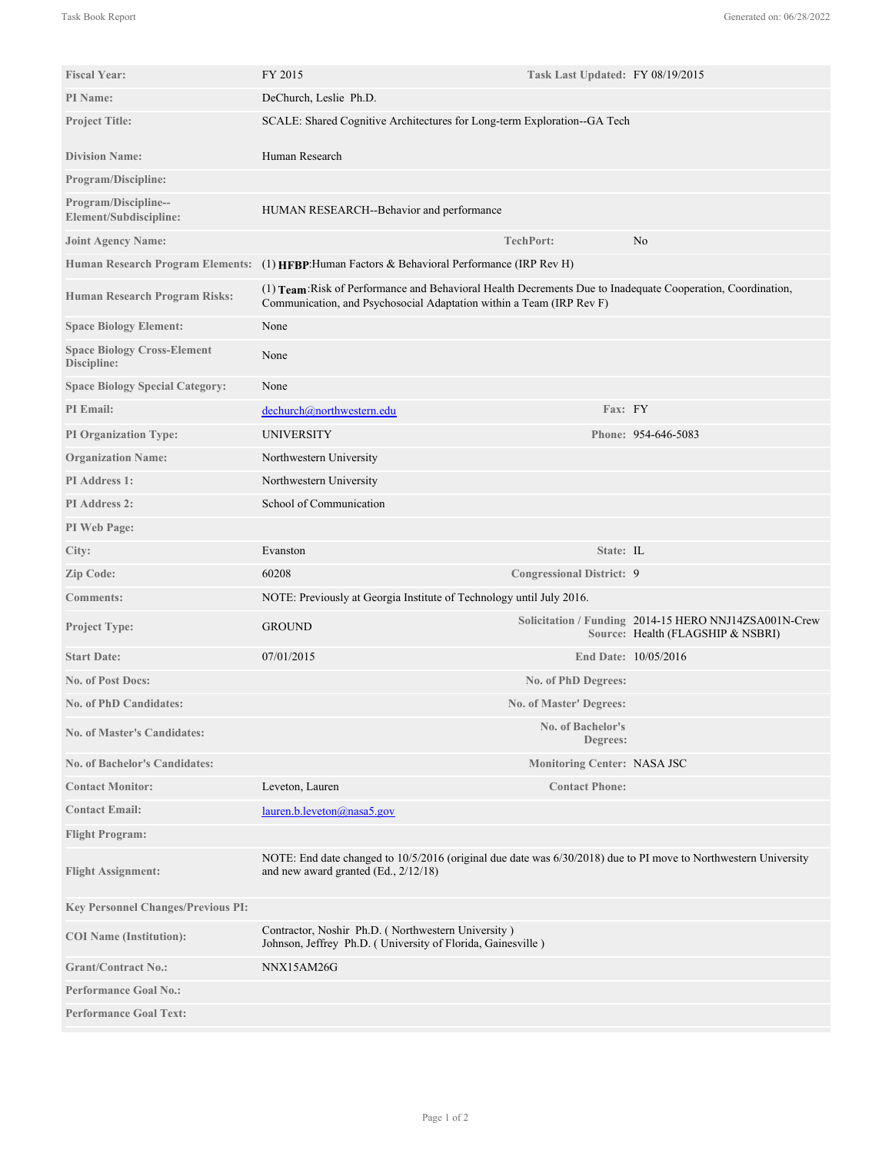| <b>Fiscal Year:</b>                               | FY 2015                                                                                                                                                                             | Task Last Updated: FY 08/19/2015   |                                                                                            |
|---------------------------------------------------|-------------------------------------------------------------------------------------------------------------------------------------------------------------------------------------|------------------------------------|--------------------------------------------------------------------------------------------|
| <b>PI</b> Name:                                   | DeChurch, Leslie Ph.D.                                                                                                                                                              |                                    |                                                                                            |
| <b>Project Title:</b>                             | SCALE: Shared Cognitive Architectures for Long-term Exploration--GA Tech                                                                                                            |                                    |                                                                                            |
| <b>Division Name:</b>                             | Human Research                                                                                                                                                                      |                                    |                                                                                            |
| <b>Program/Discipline:</b>                        |                                                                                                                                                                                     |                                    |                                                                                            |
| Program/Discipline--<br>Element/Subdiscipline:    | HUMAN RESEARCH--Behavior and performance                                                                                                                                            |                                    |                                                                                            |
| <b>Joint Agency Name:</b>                         |                                                                                                                                                                                     | <b>TechPort:</b>                   | N <sub>0</sub>                                                                             |
| <b>Human Research Program Elements:</b>           | (1) HFBP: Human Factors & Behavioral Performance (IRP Rev H)                                                                                                                        |                                    |                                                                                            |
| Human Research Program Risks:                     | (1) Team: Risk of Performance and Behavioral Health Decrements Due to Inadequate Cooperation, Coordination,<br>Communication, and Psychosocial Adaptation within a Team (IRP Rev F) |                                    |                                                                                            |
| <b>Space Biology Element:</b>                     | None                                                                                                                                                                                |                                    |                                                                                            |
| <b>Space Biology Cross-Element</b><br>Discipline: | None                                                                                                                                                                                |                                    |                                                                                            |
| <b>Space Biology Special Category:</b>            | None                                                                                                                                                                                |                                    |                                                                                            |
| PI Email:                                         | dechurch@northwestern.edu                                                                                                                                                           | Fax: FY                            |                                                                                            |
| <b>PI Organization Type:</b>                      | <b>UNIVERSITY</b>                                                                                                                                                                   |                                    | Phone: 954-646-5083                                                                        |
| <b>Organization Name:</b>                         | Northwestern University                                                                                                                                                             |                                    |                                                                                            |
| PI Address 1:                                     | Northwestern University                                                                                                                                                             |                                    |                                                                                            |
| <b>PI</b> Address 2:                              | School of Communication                                                                                                                                                             |                                    |                                                                                            |
| PI Web Page:                                      |                                                                                                                                                                                     |                                    |                                                                                            |
| City:                                             | Evanston                                                                                                                                                                            | State: IL                          |                                                                                            |
| Zip Code:                                         | 60208                                                                                                                                                                               | <b>Congressional District: 9</b>   |                                                                                            |
| <b>Comments:</b>                                  | NOTE: Previously at Georgia Institute of Technology until July 2016.                                                                                                                |                                    |                                                                                            |
| <b>Project Type:</b>                              | <b>GROUND</b>                                                                                                                                                                       |                                    | Solicitation / Funding 2014-15 HERO NNJ14ZSA001N-Crew<br>Source: Health (FLAGSHIP & NSBRI) |
| <b>Start Date:</b>                                | 07/01/2015                                                                                                                                                                          |                                    | End Date: 10/05/2016                                                                       |
| <b>No. of Post Docs:</b>                          |                                                                                                                                                                                     | No. of PhD Degrees:                |                                                                                            |
| <b>No. of PhD Candidates:</b>                     |                                                                                                                                                                                     | <b>No. of Master' Degrees:</b>     |                                                                                            |
| <b>No. of Master's Candidates:</b>                |                                                                                                                                                                                     | No. of Bachelor's<br>Degrees:      |                                                                                            |
| <b>No. of Bachelor's Candidates:</b>              |                                                                                                                                                                                     | <b>Monitoring Center: NASA JSC</b> |                                                                                            |
| <b>Contact Monitor:</b>                           | Leveton, Lauren                                                                                                                                                                     | <b>Contact Phone:</b>              |                                                                                            |
| <b>Contact Email:</b>                             | lauren.b.leveton@nasa5.gov                                                                                                                                                          |                                    |                                                                                            |
| <b>Flight Program:</b>                            |                                                                                                                                                                                     |                                    |                                                                                            |
| <b>Flight Assignment:</b>                         | NOTE: End date changed to 10/5/2016 (original due date was 6/30/2018) due to PI move to Northwestern University<br>and new award granted $(Ed., 2/12/18)$                           |                                    |                                                                                            |
| <b>Key Personnel Changes/Previous PI:</b>         |                                                                                                                                                                                     |                                    |                                                                                            |
| <b>COI</b> Name (Institution):                    | Contractor, Noshir Ph.D. (Northwestern University)<br>Johnson, Jeffrey Ph.D. (University of Florida, Gainesville)                                                                   |                                    |                                                                                            |
| <b>Grant/Contract No.:</b>                        | NNX15AM26G                                                                                                                                                                          |                                    |                                                                                            |
| <b>Performance Goal No.:</b>                      |                                                                                                                                                                                     |                                    |                                                                                            |
| <b>Performance Goal Text:</b>                     |                                                                                                                                                                                     |                                    |                                                                                            |

Among the remarkable team challenges NASA faces in long distance space exploration (LDSE) missions is the need to